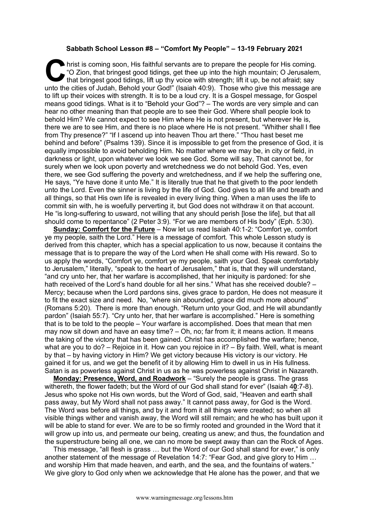## **Sabbath School Lesson #8 – "Comfort My People" – 13-19 February 2021**

hrist is coming soon, His faithful servants are to prepare the people for His coming.<br>
"O Zion, that bringest good tidings, get thee up into the high mountain; O Jerusalem<br>
that bringest good tidings, lift up thy voice wit "O Zion, that bringest good tidings, get thee up into the high mountain; O Jerusalem, that bringest good tidings, lift up thy voice with strength; lift it up, be not afraid; say unto the cities of Judah, Behold your God!" (Isaiah 40:9). Those who give this message are to lift up their voices with strength. It is to be a loud cry. It is a Gospel message, for Gospel means good tidings. What is it to "Behold your God"? – The words are very simple and can hear no other meaning than that people are to see their God. Where shall people look to behold Him? We cannot expect to see Him where He is not present, but wherever He is, there we are to see Him, and there is no place where He is not present. "Whither shall I flee from Thy presence?" "If I ascend up into heaven Thou art there." "Thou hast beset me behind and before" (Psalms 139). Since it is impossible to get from the presence of God, it is equally impossible to avoid beholding Him. No matter where we may be, in city or field, in darkness or light, upon whatever we look we see God. Some will say, That cannot be, for surely when we look upon poverty and wretchedness we do not behold God. Yes, even there, we see God suffering the poverty and wretchedness, and if we help the suffering one, He says, "Ye have done it unto Me." It is literally true that he that giveth to the poor lendeth unto the Lord. Even the sinner is living by the life of God. God gives to all life and breath and all things, so that His own life is revealed in every living thing. When a man uses the life to commit sin with, he is woefully perverting it, but God does not withdraw it on that account. He "is long-suffering to usward, not willing that any should perish [lose the life], but that all should come to repentance" (2 Peter 3:9). "For we are members of His body" (Eph. 5:30).

**Sunday: Comfort for the Future** – Now let us read Isaiah 40:1-2: "Comfort ye, comfort ye my people, saith the Lord." Here is a message of comfort. This whole Lesson study is derived from this chapter, which has a special application to us now, because it contains the message that is to prepare the way of the Lord when He shall come with His reward. So to us apply the words, "Comfort ye, comfort ye my people, saith your God. Speak comfortably to Jerusalem," literally, "speak to the heart of Jerusalem," that is, that they will understand, "and cry unto her, that her warfare is accomplished, that her iniquity is pardoned: for she hath received of the Lord's hand double for all her sins." What has she received double? – Mercy; because when the Lord pardons sins, gives grace to pardon, He does not measure it to fit the exact size and need. No, "where sin abounded, grace did much more abound" (Romans 5:20). There is more than enough. "Return unto your God, and He will abundantly pardon" (Isaiah 55:7). "Cry unto her, that her warfare is accomplished." Here is something that is to be told to the people – Your warfare is accomplished. Does that mean that men may now sit down and have an easy time? – Oh, no; far from it; it means action. It means the taking of the victory that has been gained. Christ has accomplished the warfare; hence, what are you to do? – Rejoice in it. How can you rejoice in it? – By faith. Well, what is meant by that – by having victory in Him? We get victory because His victory is our victory. He gained it for us, and we get the benefit of it by allowing Him to dwell in us in His fullness. Satan is as powerless against Christ in us as he was powerless against Christ in Nazareth.

**Monday: Presence, Word, and Roadwork** – "Surely the people is grass. The grass withereth, the flower fadeth; but the Word of our God shall stand for ever" (Isaiah 4**0**:7-8). Jesus who spoke not His own words, but the Word of God, said, "Heaven and earth shall pass away, but My Word shall not pass away." It cannot pass away, for God is the Word. The Word was before all things, and by it and from it all things were created; so when all visible things wither and vanish away, the Word will still remain; and he who has built upon it will be able to stand for ever. We are to be so firmly rooted and grounded in the Word that it will grow up into us, and permeate our being, creating us anew; and thus, the foundation and the superstructure being all one, we can no more be swept away than can the Rock of Ages.

This message, "all flesh is grass … but the Word of our God shall stand for ever," is only another statement of the message of Revelation 14:7: "Fear God, and give glory to Him … and worship Him that made heaven, and earth, and the sea, and the fountains of waters." We give glory to God only when we acknowledge that He alone has the power, and that we